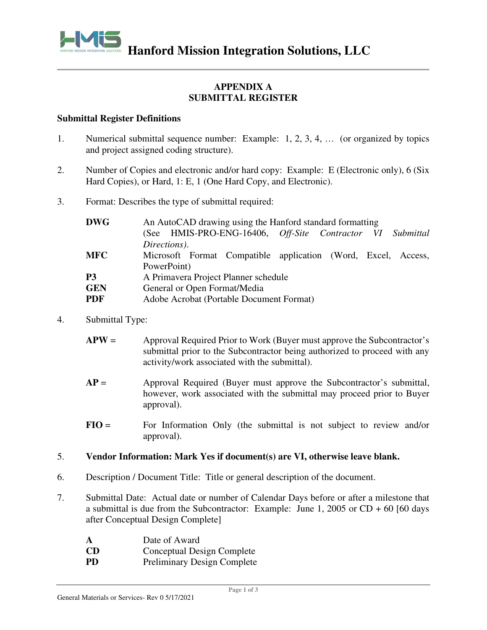

# **APPENDIX A SUBMITTAL REGISTER**

### **Submittal Register Definitions**

- 1. Numerical submittal sequence number: Example: 1, 2, 3, 4, … (or organized by topics and project assigned coding structure).
- 2. Number of Copies and electronic and/or hard copy: Example: E (Electronic only), 6 (Six Hard Copies), or Hard, 1: E, 1 (One Hard Copy, and Electronic).
- 3. Format: Describes the type of submittal required:

| <b>DWG</b>     | An AutoCAD drawing using the Hanford standard formatting      |  |  |  |  |  |  |
|----------------|---------------------------------------------------------------|--|--|--|--|--|--|
|                | HMIS-PRO-ENG-16406, Off-Site Contractor VI Submittal<br>(See  |  |  |  |  |  |  |
|                | Directions).                                                  |  |  |  |  |  |  |
| <b>MFC</b>     | Microsoft Format Compatible application (Word, Excel, Access, |  |  |  |  |  |  |
|                | PowerPoint)                                                   |  |  |  |  |  |  |
| P <sub>3</sub> | A Primavera Project Planner schedule                          |  |  |  |  |  |  |
| <b>GEN</b>     | General or Open Format/Media                                  |  |  |  |  |  |  |
| <b>PDF</b>     | Adobe Acrobat (Portable Document Format)                      |  |  |  |  |  |  |

4. Submittal Type:

| $APW =$ | Approval Required Prior to Work (Buyer must approve the Subcontractor's   |
|---------|---------------------------------------------------------------------------|
|         | submittal prior to the Subcontractor being authorized to proceed with any |
|         | activity/work associated with the submittal).                             |

- **AP** = Approval Required (Buyer must approve the Subcontractor's submittal, however, work associated with the submittal may proceed prior to Buyer approval).
- **FIO** = For Information Only (the submittal is not subject to review and/or approval).

## 5. **Vendor Information: Mark Yes if document(s) are VI, otherwise leave blank.**

- 6. Description / Document Title: Title or general description of the document.
- 7. Submittal Date: Actual date or number of Calendar Days before or after a milestone that a submittal is due from the Subcontractor: Example: June 1, 2005 or  $CD + 60$  [60 days after Conceptual Design Complete]
	- **A** Date of Award
	- **CD** Conceptual Design Complete
	- **PD** Preliminary Design Complete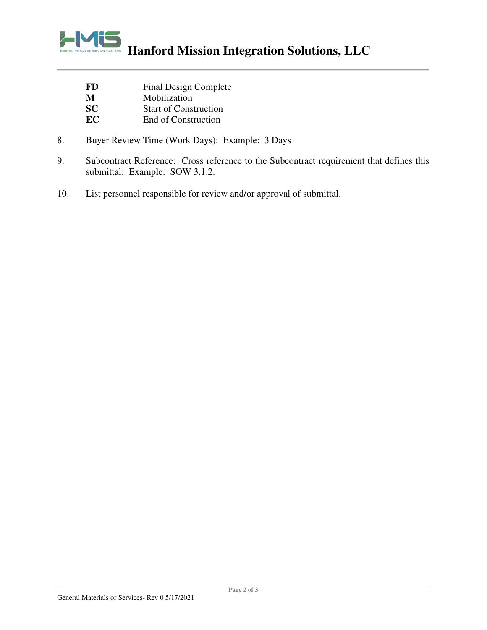

| <b>FD</b>      | Final Design Complete |
|----------------|-----------------------|
| M              | Mobilization          |
| $\mathbf{S}$ C | Start of Construction |

- **SC** Start of Construction<br> **EC** End of Construction **End of Construction**
- 8. Buyer Review Time (Work Days): Example: 3 Days
- 9. Subcontract Reference: Cross reference to the Subcontract requirement that defines this submittal: Example: SOW 3.1.2.
- 10. List personnel responsible for review and/or approval of submittal.